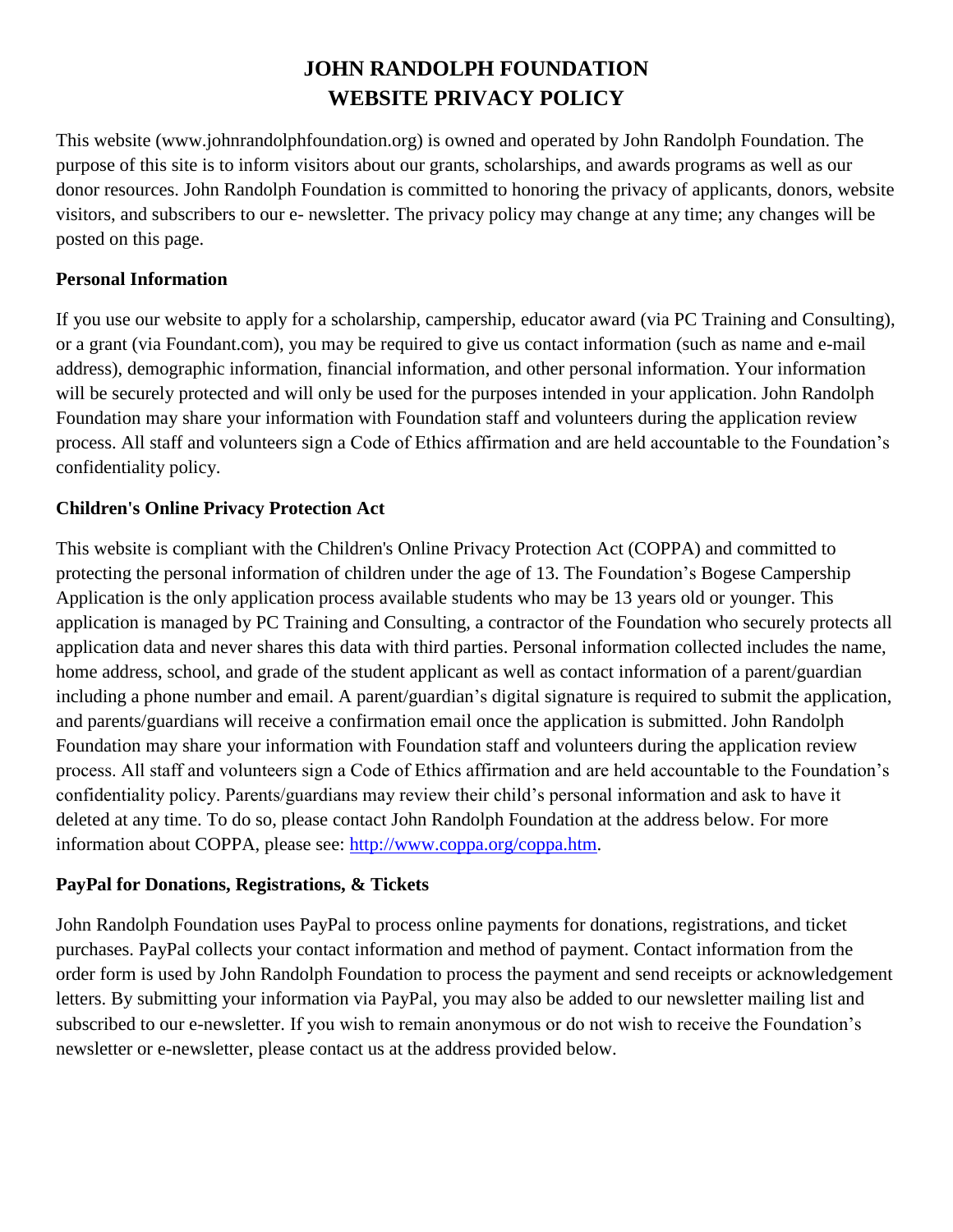# **JOHN RANDOLPH FOUNDATION WEBSITE PRIVACY POLICY**

This website (www.johnrandolphfoundation.org) is owned and operated by John Randolph Foundation. The purpose of this site is to inform visitors about our grants, scholarships, and awards programs as well as our donor resources. John Randolph Foundation is committed to honoring the privacy of applicants, donors, website visitors, and subscribers to our e- newsletter. The privacy policy may change at any time; any changes will be posted on this page.

# **Personal Information**

If you use our website to apply for a scholarship, campership, educator award (via PC Training and Consulting), or a grant (via Foundant.com), you may be required to give us contact information (such as name and e-mail address), demographic information, financial information, and other personal information. Your information will be securely protected and will only be used for the purposes intended in your application. John Randolph Foundation may share your information with Foundation staff and volunteers during the application review process. All staff and volunteers sign a Code of Ethics affirmation and are held accountable to the Foundation's confidentiality policy.

# **Children's Online Privacy Protection Act**

This website is compliant with the Children's Online Privacy Protection Act (COPPA) and committed to protecting the personal information of children under the age of 13. The Foundation's Bogese Campership Application is the only application process available students who may be 13 years old or younger. This application is managed by PC Training and Consulting, a contractor of the Foundation who securely protects all application data and never shares this data with third parties. Personal information collected includes the name, home address, school, and grade of the student applicant as well as contact information of a parent/guardian including a phone number and email. A parent/guardian's digital signature is required to submit the application, and parents/guardians will receive a confirmation email once the application is submitted. John Randolph Foundation may share your information with Foundation staff and volunteers during the application review process. All staff and volunteers sign a Code of Ethics affirmation and are held accountable to the Foundation's confidentiality policy. Parents/guardians may review their child's personal information and ask to have it deleted at any time. To do so, please contact John Randolph Foundation at the address below. For more information about COPPA, please see: [http://www.coppa.org/coppa.htm.](http://www.coppa.org/coppa.htm)

#### **PayPal for Donations, Registrations, & Tickets**

John Randolph Foundation uses PayPal to process online payments for donations, registrations, and ticket purchases. PayPal collects your contact information and method of payment. Contact information from the order form is used by John Randolph Foundation to process the payment and send receipts or acknowledgement letters. By submitting your information via PayPal, you may also be added to our newsletter mailing list and subscribed to our e-newsletter. If you wish to remain anonymous or do not wish to receive the Foundation's newsletter or e-newsletter, please contact us at the address provided below.